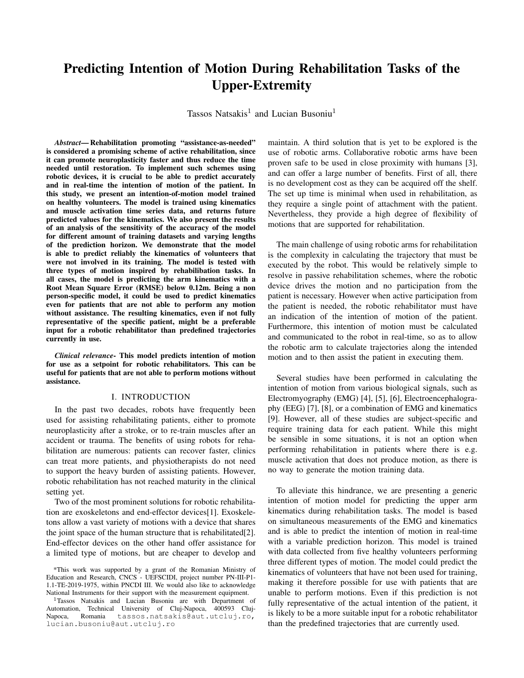# Predicting Intention of Motion During Rehabilitation Tasks of the Upper-Extremity

Tassos Natsakis<sup>1</sup> and Lucian Busoniu<sup>1</sup>

*Abstract*— Rehabilitation promoting "assistance-as-needed" is considered a promising scheme of active rehabilitation, since it can promote neuroplasticity faster and thus reduce the time needed until restoration. To implement such schemes using robotic devices, it is crucial to be able to predict accurately and in real-time the intention of motion of the patient. In this study, we present an intention-of-motion model trained on healthy volunteers. The model is trained using kinematics and muscle activation time series data, and returns future predicted values for the kinematics. We also present the results of an analysis of the sensitivity of the accuracy of the model for different amount of training datasets and varying lengths of the prediction horizon. We demonstrate that the model is able to predict reliably the kinematics of volunteers that were not involved in its training. The model is tested with three types of motion inspired by rehabilibation tasks. In all cases, the model is predicting the arm kinematics with a Root Mean Square Error (RMSE) below 0.12m. Being a non person-specific model, it could be used to predict kinematics even for patients that are not able to perform any motion without assistance. The resulting kinematics, even if not fully representative of the specific patient, might be a preferable input for a robotic rehabilitator than predefined trajectories currently in use.

*Clinical relevance*- This model predicts intention of motion for use as a setpoint for robotic rehabilitators. This can be useful for patients that are not able to perform motions without assistance.

### I. INTRODUCTION

In the past two decades, robots have frequently been used for assisting rehabilitating patients, either to promote neuroplasticity after a stroke, or to re-train muscles after an accident or trauma. The benefits of using robots for rehabilitation are numerous: patients can recover faster, clinics can treat more patients, and physiotherapists do not need to support the heavy burden of assisting patients. However, robotic rehabilitation has not reached maturity in the clinical setting yet.

Two of the most prominent solutions for robotic rehabilitation are exoskeletons and end-effector devices[1]. Exoskeletons allow a vast variety of motions with a device that shares the joint space of the human structure that is rehabilitated[2]. End-effector devices on the other hand offer assistance for a limited type of motions, but are cheaper to develop and maintain. A third solution that is yet to be explored is the use of robotic arms. Collaborative robotic arms have been proven safe to be used in close proximity with humans [3], and can offer a large number of benefits. First of all, there is no development cost as they can be acquired off the shelf. The set up time is minimal when used in rehabilitation, as they require a single point of attachment with the patient. Nevertheless, they provide a high degree of flexibility of motions that are supported for rehabilitation.

The main challenge of using robotic arms for rehabilitation is the complexity in calculating the trajectory that must be executed by the robot. This would be relatively simple to resolve in passive rehabilitation schemes, where the robotic device drives the motion and no participation from the patient is necessary. However when active participation from the patient is needed, the robotic rehabilitator must have an indication of the intention of motion of the patient. Furthermore, this intention of motion must be calculated and communicated to the robot in real-time, so as to allow the robotic arm to calculate trajectories along the intended motion and to then assist the patient in executing them.

Several studies have been performed in calculating the intention of motion from various biological signals, such as Electromyography (EMG) [4], [5], [6], Electroencephalography (EEG) [7], [8], or a combination of EMG and kinematics [9]. However, all of these studies are subject-specific and require training data for each patient. While this might be sensible in some situations, it is not an option when performing rehabilitation in patients where there is e.g. muscle activation that does not produce motion, as there is no way to generate the motion training data.

To alleviate this hindrance, we are presenting a generic intention of motion model for predicting the upper arm kinematics during rehabilitation tasks. The model is based on simultaneous measurements of the EMG and kinematics and is able to predict the intention of motion in real-time with a variable prediction horizon. This model is trained with data collected from five healthy volunteers performing three different types of motion. The model could predict the kinematics of volunteers that have not been used for training, making it therefore possible for use with patients that are unable to perform motions. Even if this prediction is not fully representative of the actual intention of the patient, it is likely to be a more suitable input for a robotic rehabilitator than the predefined trajectories that are currently used.

<sup>\*</sup>This work was supported by a grant of the Romanian Ministry of Education and Research, CNCS - UEFSCIDI, project number PN-III-P1- 1.1-TE-2019-1975, within PNCDI III. We would also like to acknowledge National Instruments for their support with the measurement equipment.

<sup>1</sup>Tassos Natsakis and Lucian Busoniu are with Department of Automation, Technical University of Cluj-Napoca, 400593 Cluj-<br>Napoca, Romania tassos.natsakis@aut.utcluj.ro, tassos.natsakis@aut.utcluj.ro, lucian.busoniu@aut.utcluj.ro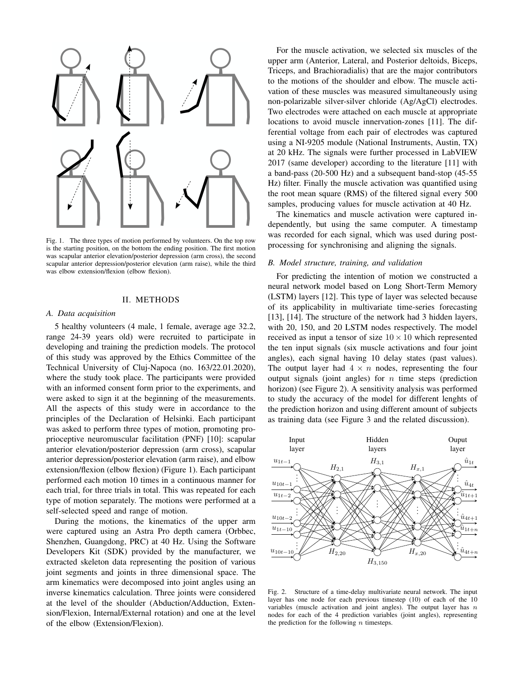

Fig. 1. The three types of motion performed by volunteers. On the top row is the starting position, on the bottom the ending position. The first motion was scapular anterior elevation/posterior depression (arm cross), the second scapular anterior depression/posterior elevation (arm raise), while the third was elbow extension/flexion (elbow flexion).

#### II. METHODS

#### *A. Data acquisition*

5 healthy volunteers (4 male, 1 female, average age 32.2, range 24-39 years old) were recruited to participate in developing and training the prediction models. The protocol of this study was approved by the Ethics Committee of the Technical University of Cluj-Napoca (no. 163/22.01.2020), where the study took place. The participants were provided with an informed consent form prior to the experiments, and were asked to sign it at the beginning of the measurements. All the aspects of this study were in accordance to the principles of the Declaration of Helsinki. Each participant was asked to perform three types of motion, promoting proprioceptive neuromuscular facilitation (PNF) [10]: scapular anterior elevation/posterior depression (arm cross), scapular anterior depression/posterior elevation (arm raise), and elbow extension/flexion (elbow flexion) (Figure 1). Each participant performed each motion 10 times in a continuous manner for each trial, for three trials in total. This was repeated for each type of motion separately. The motions were performed at a self-selected speed and range of motion.

During the motions, the kinematics of the upper arm were captured using an Astra Pro depth camera (Orbbec, Shenzhen, Guangdong, PRC) at 40 Hz. Using the Software Developers Kit (SDK) provided by the manufacturer, we extracted skeleton data representing the position of various joint segments and joints in three dimensional space. The arm kinematics were decomposed into joint angles using an inverse kinematics calculation. Three joints were considered at the level of the shoulder (Abduction/Adduction, Extension/Flexion, Internal/External rotation) and one at the level of the elbow (Extension/Flexion).

For the muscle activation, we selected six muscles of the upper arm (Anterior, Lateral, and Posterior deltoids, Biceps, Triceps, and Brachioradialis) that are the major contributors to the motions of the shoulder and elbow. The muscle activation of these muscles was measured simultaneously using non-polarizable silver-silver chloride (Ag/AgCl) electrodes. Two electrodes were attached on each muscle at appropriate locations to avoid muscle innervation-zones [11]. The differential voltage from each pair of electrodes was captured using a NI-9205 module (National Instruments, Austin, TX) at 20 kHz. The signals were further processed in LabVIEW 2017 (same developer) according to the literature [11] with a band-pass (20-500 Hz) and a subsequent band-stop (45-55 Hz) filter. Finally the muscle activation was quantified using the root mean square (RMS) of the filtered signal every 500 samples, producing values for muscle activation at 40 Hz.

The kinematics and muscle activation were captured independently, but using the same computer. A timestamp was recorded for each signal, which was used during postprocessing for synchronising and aligning the signals.

# *B. Model structure, training, and validation*

For predicting the intention of motion we constructed a neural network model based on Long Short-Term Memory (LSTM) layers [12]. This type of layer was selected because of its applicability in multivariate time-series forecasting [13], [14]. The structure of the network had 3 hidden layers, with 20, 150, and 20 LSTM nodes respectively. The model received as input a tensor of size  $10 \times 10$  which represented the ten input signals (six muscle activations and four joint angles), each signal having 10 delay states (past values). The output layer had  $4 \times n$  nodes, representing the four output signals (joint angles) for  $n$  time steps (prediction horizon) (see Figure 2). A sensitivity analysis was performed to study the accuracy of the model for different lenghts of the prediction horizon and using different amount of subjects as training data (see Figure 3 and the related discussion).



Fig. 2. Structure of a time-delay multivariate neural network. The input layer has one node for each previous timestep (10) of each of the 10 variables (muscle activation and joint angles). The output layer has  $n$ nodes for each of the 4 prediction variables (joint angles), representing the prediction for the following  $n$  timesteps.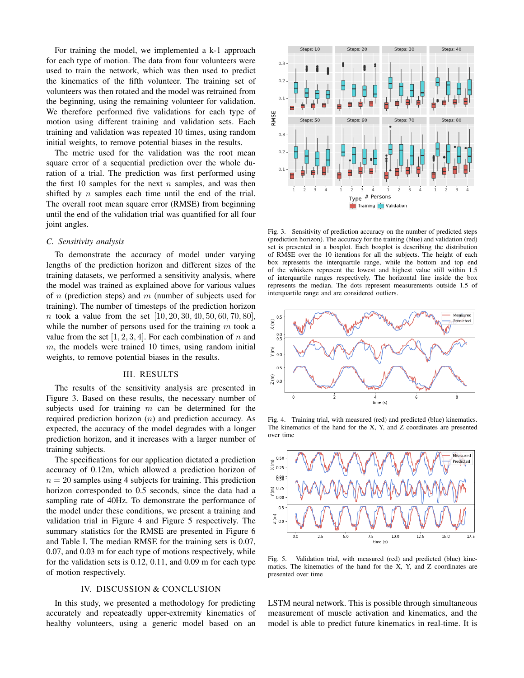For training the model, we implemented a k-1 approach for each type of motion. The data from four volunteers were used to train the network, which was then used to predict the kinematics of the fifth volunteer. The training set of volunteers was then rotated and the model was retrained from the beginning, using the remaining volunteer for validation. We therefore performed five validations for each type of motion using different training and validation sets. Each training and validation was repeated 10 times, using random initial weights, to remove potential biases in the results.

The metric used for the validation was the root mean square error of a sequential prediction over the whole duration of a trial. The prediction was first performed using the first 10 samples for the next  $n$  samples, and was then shifted by  $n$  samples each time until the end of the trial. The overall root mean square error (RMSE) from beginning until the end of the validation trial was quantified for all four joint angles.

## *C. Sensitivity analysis*

To demonstrate the accuracy of model under varying lengths of the prediction horizon and different sizes of the training datasets, we performed a sensitivity analysis, where the model was trained as explained above for various values of n (prediction steps) and m (number of subjects used for training). The number of timesteps of the prediction horizon *n* took a value from the set  $[10, 20, 30, 40, 50, 60, 70, 80]$ , while the number of persons used for the training  $m$  took a value from the set  $[1, 2, 3, 4]$ . For each combination of n and  $m$ , the models were trained 10 times, using random initial weights, to remove potential biases in the results.

## III. RESULTS

The results of the sensitivity analysis are presented in Figure 3. Based on these results, the necessary number of subjects used for training  $m$  can be determined for the required prediction horizon  $(n)$  and prediction accuracy. As expected, the accuracy of the model degrades with a longer prediction horizon, and it increases with a larger number of training subjects.

The specifications for our application dictated a prediction accuracy of 0.12m, which allowed a prediction horizon of  $n = 20$  samples using 4 subjects for training. This prediction horizon corresponded to 0.5 seconds, since the data had a sampling rate of 40Hz. To demonstrate the performance of the model under these conditions, we present a training and validation trial in Figure 4 and Figure 5 respectively. The summary statistics for the RMSE are presented in Figure 6 and Table I. The median RMSE for the training sets is 0.07, 0.07, and 0.03 m for each type of motions respectively, while for the validation sets is 0.12, 0.11, and 0.09 m for each type of motion respectively.

# IV. DISCUSSION & CONCLUSION

In this study, we presented a methodology for predicting accurately and repeateadly upper-extremity kinematics of healthy volunteers, using a generic model based on an



Fig. 3. Sensitivity of prediction accuracy on the number of predicted steps (prediction horizon). The accuracy for the training (blue) and validation (red) set is presented in a boxplot. Each boxplot is describing the distribution of RMSE over the 10 iterations for all the subjects. The height of each box represents the interquartile range, while the bottom and top end of the whiskers represent the lowest and highest value still within 1.5 of interquartile ranges respectively. The horizontal line inside the box represents the median. The dots represent measurements outside 1.5 of interquartile range and are considered outliers.



Fig. 4. Training trial, with measured (red) and predicted (blue) kinematics. The kinematics of the hand for the X, Y, and  $\overline{Z}$  coordinates are presented over time



Fig. 5. Validation trial, with measured (red) and predicted (blue) kinematics. The kinematics of the hand for the X, Y, and Z coordinates are presented over time

LSTM neural network. This is possible through simultaneous measurement of muscle activation and kinematics, and the model is able to predict future kinematics in real-time. It is